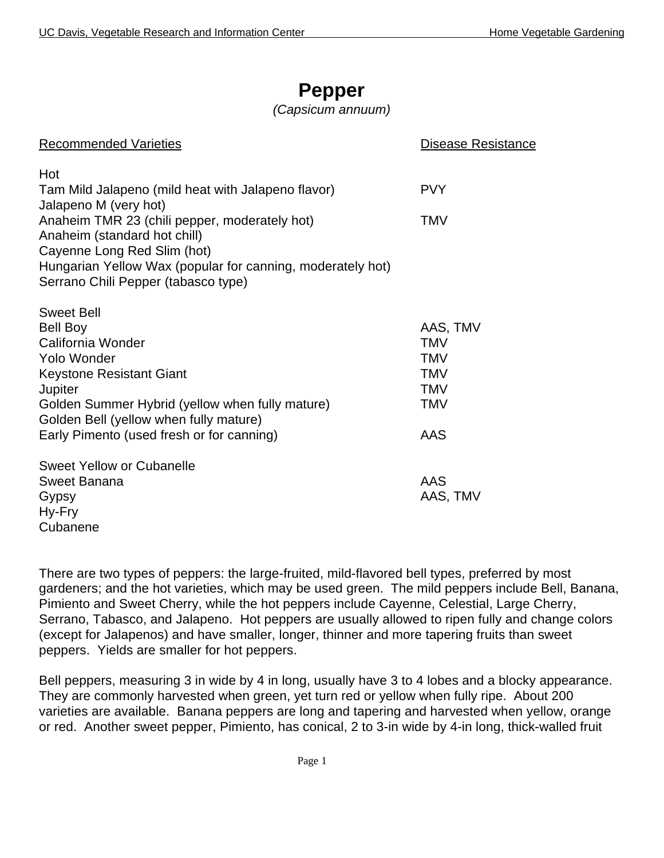## **Pepper**

### *(Capsicum annuum)*

| <b>Recommended Varieties</b>                                                | Disease Resistance |
|-----------------------------------------------------------------------------|--------------------|
| Hot                                                                         |                    |
| Tam Mild Jalapeno (mild heat with Jalapeno flavor)<br>Jalapeno M (very hot) | <b>PVY</b>         |
| Anaheim TMR 23 (chili pepper, moderately hot)                               | <b>TMV</b>         |
| Anaheim (standard hot chill)<br>Cayenne Long Red Slim (hot)                 |                    |
| Hungarian Yellow Wax (popular for canning, moderately hot)                  |                    |
| Serrano Chili Pepper (tabasco type)                                         |                    |
| <b>Sweet Bell</b>                                                           |                    |
| <b>Bell Boy</b>                                                             | AAS, TMV           |
| California Wonder                                                           | <b>TMV</b>         |
| <b>Yolo Wonder</b>                                                          | <b>TMV</b>         |
| <b>Keystone Resistant Giant</b>                                             | <b>TMV</b>         |
| Jupiter                                                                     | <b>TMV</b>         |
| Golden Summer Hybrid (yellow when fully mature)                             | <b>TMV</b>         |
| Golden Bell (yellow when fully mature)                                      |                    |
| Early Pimento (used fresh or for canning)                                   | AAS                |
| Sweet Yellow or Cubanelle                                                   |                    |
| Sweet Banana                                                                | AAS                |
| Gypsy                                                                       | AAS, TMV           |
| Hy-Fry                                                                      |                    |
| Cubanene                                                                    |                    |

There are two types of peppers: the large-fruited, mild-flavored bell types, preferred by most gardeners; and the hot varieties, which may be used green. The mild peppers include Bell, Banana, Pimiento and Sweet Cherry, while the hot peppers include Cayenne, Celestial, Large Cherry, Serrano, Tabasco, and Jalapeno. Hot peppers are usually allowed to ripen fully and change colors (except for Jalapenos) and have smaller, longer, thinner and more tapering fruits than sweet peppers. Yields are smaller for hot peppers.

Bell peppers, measuring 3 in wide by 4 in long, usually have 3 to 4 lobes and a blocky appearance. They are commonly harvested when green, yet turn red or yellow when fully ripe. About 200 varieties are available. Banana peppers are long and tapering and harvested when yellow, orange or red. Another sweet pepper, Pimiento, has conical, 2 to 3-in wide by 4-in long, thick-walled fruit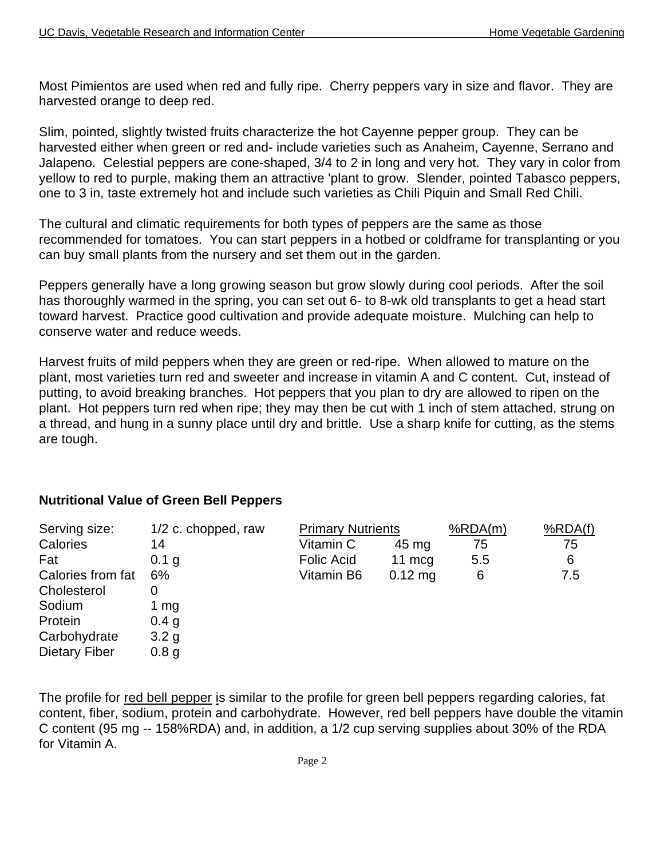Most Pimientos are used when red and fully ripe. Cherry peppers vary in size and flavor. They are harvested orange to deep red.

Slim, pointed, slightly twisted fruits characterize the hot Cayenne pepper group. They can be harvested either when green or red and- include varieties such as Anaheim, Cayenne, Serrano and Jalapeno. Celestial peppers are cone-shaped, 3/4 to 2 in long and very hot. They vary in color from yellow to red to purple, making them an attractive 'plant to grow. Slender, pointed Tabasco peppers, one to 3 in, taste extremely hot and include such varieties as Chili Piquin and Small Red Chili.

The cultural and climatic requirements for both types of peppers are the same as those recommended for tomatoes. You can start peppers in a hotbed or coldframe for transplanting or you can buy small plants from the nursery and set them out in the garden.

Peppers generally have a long growing season but grow slowly during cool periods. After the soil has thoroughly warmed in the spring, you can set out 6- to 8-wk old transplants to get a head start toward harvest. Practice good cultivation and provide adequate moisture. Mulching can help to conserve water and reduce weeds.

Harvest fruits of mild peppers when they are green or red-ripe. When allowed to mature on the plant, most varieties turn red and sweeter and increase in vitamin A and C content. Cut, instead of putting, to avoid breaking branches. Hot peppers that you plan to dry are allowed to ripen on the plant. Hot peppers turn red when ripe; they may then be cut with 1 inch of stem attached, strung on a thread, and hung in a sunny place until dry and brittle. Use a sharp knife for cutting, as the stems are tough.

#### **Nutritional Value of Green Bell Peppers**

| Serving size:        | 1/2 c. chopped, raw | <b>Primary Nutrients</b> |           | %RDA(m) | %RDA(f) |
|----------------------|---------------------|--------------------------|-----------|---------|---------|
| Calories             | 14                  | Vitamin C                | 45 mg     | 75      | 75      |
| Fat                  | 0.1 g               | <b>Folic Acid</b>        | 11 $mcq$  | 5.5     | 6       |
| Calories from fat    | 6%                  | Vitamin B6               | $0.12$ mg | 6       | 7.5     |
| Cholesterol          |                     |                          |           |         |         |
| Sodium               | 1 mg                |                          |           |         |         |
| Protein              | 0.4 <sub>g</sub>    |                          |           |         |         |
| Carbohydrate         | 3.2 <sub>g</sub>    |                          |           |         |         |
| <b>Dietary Fiber</b> | 0.8 <sub>g</sub>    |                          |           |         |         |
|                      |                     |                          |           |         |         |

The profile for red bell pepper is similar to the profile for green bell peppers regarding calories, fat content, fiber, sodium, protein and carbohydrate. However, red bell peppers have double the vitamin C content (95 mg -- 158%RDA) and, in addition, a 1/2 cup serving supplies about 30% of the RDA for Vitamin A.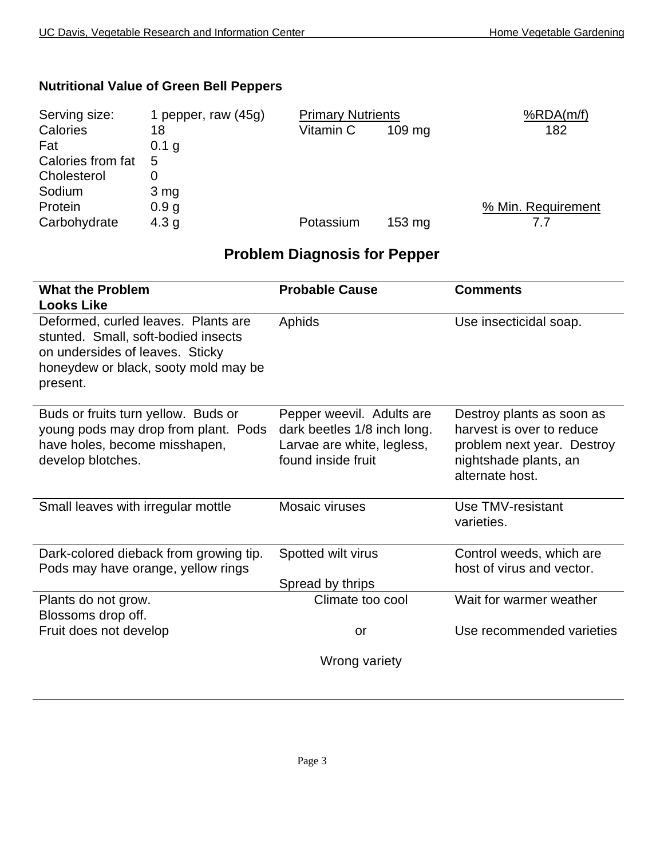### **Nutritional Value of Green Bell Peppers**

| Serving size:     | 1 pepper, raw (45g) | <b>Primary Nutrients</b> |                  | %RDA(m/f)          |
|-------------------|---------------------|--------------------------|------------------|--------------------|
| Calories          | 18                  | Vitamin C                | $109 \text{ mg}$ | 182                |
| Fat               | 0.1 g               |                          |                  |                    |
| Calories from fat | 5                   |                          |                  |                    |
| Cholesterol       |                     |                          |                  |                    |
| Sodium            | $3 \, mg$           |                          |                  |                    |
| Protein           | 0.9 <sub>g</sub>    |                          |                  | % Min. Requirement |
| Carbohydrate      | 4.3 <sub>g</sub>    | Potassium                | $153 \text{ mg}$ |                    |

## **Problem Diagnosis for Pepper**

| <b>What the Problem</b>                                                                                                                                           | <b>Probable Cause</b>                                                                                        | <b>Comments</b>                                                                                                                  |
|-------------------------------------------------------------------------------------------------------------------------------------------------------------------|--------------------------------------------------------------------------------------------------------------|----------------------------------------------------------------------------------------------------------------------------------|
| <b>Looks Like</b>                                                                                                                                                 |                                                                                                              |                                                                                                                                  |
| Deformed, curled leaves. Plants are<br>stunted. Small, soft-bodied insects<br>on undersides of leaves. Sticky<br>honeydew or black, sooty mold may be<br>present. | Aphids                                                                                                       | Use insecticidal soap.                                                                                                           |
| Buds or fruits turn yellow. Buds or<br>young pods may drop from plant. Pods<br>have holes, become misshapen,<br>develop blotches.                                 | Pepper weevil. Adults are<br>dark beetles 1/8 inch long.<br>Larvae are white, legless,<br>found inside fruit | Destroy plants as soon as<br>harvest is over to reduce<br>problem next year. Destroy<br>nightshade plants, an<br>alternate host. |
| Small leaves with irregular mottle                                                                                                                                | Mosaic viruses                                                                                               | Use TMV-resistant<br>varieties.                                                                                                  |
| Dark-colored dieback from growing tip.<br>Pods may have orange, yellow rings                                                                                      | Spotted wilt virus<br>Spread by thrips                                                                       | Control weeds, which are<br>host of virus and vector.                                                                            |
| Plants do not grow.<br>Blossoms drop off.                                                                                                                         | Climate too cool                                                                                             | Wait for warmer weather                                                                                                          |
| Fruit does not develop                                                                                                                                            | or                                                                                                           | Use recommended varieties                                                                                                        |
|                                                                                                                                                                   | Wrong variety                                                                                                |                                                                                                                                  |